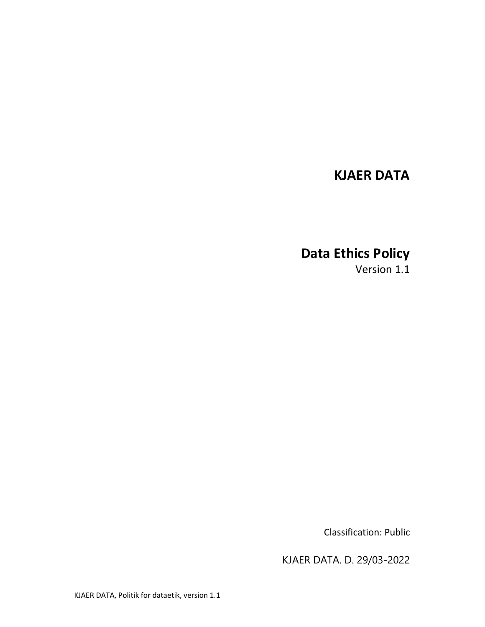## KJAER DATA

# Data Ethics Policy

Version 1.1

Classification: Public

KJAER DATA. D. 29/03-2022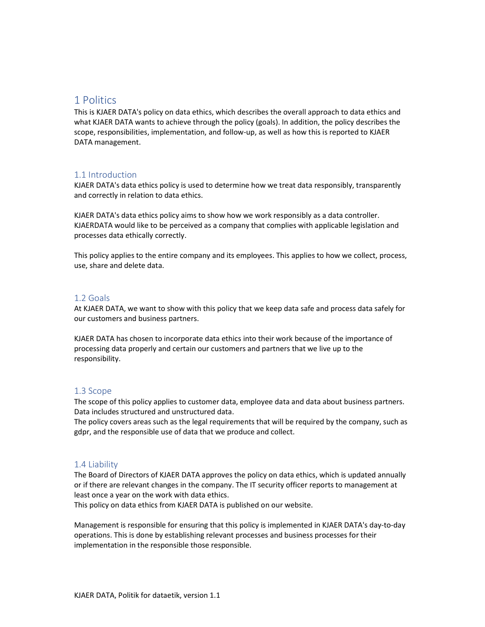### 1 Politics

This is KJAER DATA's policy on data ethics, which describes the overall approach to data ethics and what KJAER DATA wants to achieve through the policy (goals). In addition, the policy describes the scope, responsibilities, implementation, and follow-up, as well as how this is reported to KJAER DATA management.

#### 1.1 Introduction

KJAER DATA's data ethics policy is used to determine how we treat data responsibly, transparently and correctly in relation to data ethics.

KJAER DATA's data ethics policy aims to show how we work responsibly as a data controller. KJAERDATA would like to be perceived as a company that complies with applicable legislation and processes data ethically correctly.

This policy applies to the entire company and its employees. This applies to how we collect, process, use, share and delete data.

#### 1.2 Goals

At KJAER DATA, we want to show with this policy that we keep data safe and process data safely for our customers and business partners.

KJAER DATA has chosen to incorporate data ethics into their work because of the importance of processing data properly and certain our customers and partners that we live up to the responsibility.

#### 1.3 Scope

The scope of this policy applies to customer data, employee data and data about business partners. Data includes structured and unstructured data.

The policy covers areas such as the legal requirements that will be required by the company, such as gdpr, and the responsible use of data that we produce and collect.

#### 1.4 Liability

The Board of Directors of KJAER DATA approves the policy on data ethics, which is updated annually or if there are relevant changes in the company. The IT security officer reports to management at least once a year on the work with data ethics.

This policy on data ethics from KJAER DATA is published on our website.

Management is responsible for ensuring that this policy is implemented in KJAER DATA's day-to-day operations. This is done by establishing relevant processes and business processes for their implementation in the responsible those responsible.